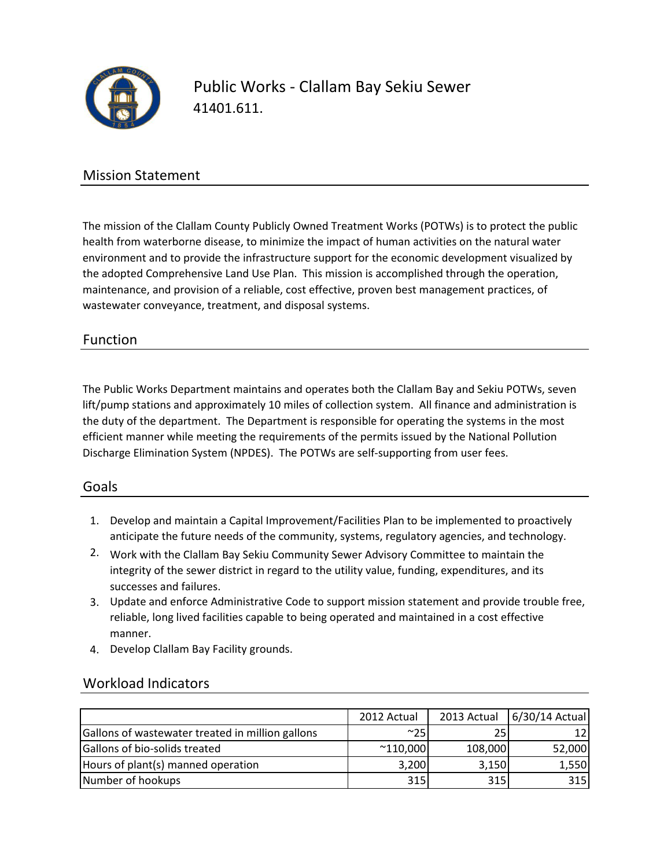

Public Works - Clallam Bay Sekiu Sewer 41401.611.

### Mission Statement

The mission of the Clallam County Publicly Owned Treatment Works (POTWs) is to protect the public health from waterborne disease, to minimize the impact of human activities on the natural water environment and to provide the infrastructure support for the economic development visualized by the adopted Comprehensive Land Use Plan. This mission is accomplished through the operation, maintenance, and provision of a reliable, cost effective, proven best management practices, of wastewater conveyance, treatment, and disposal systems.

### Function

The Public Works Department maintains and operates both the Clallam Bay and Sekiu POTWs, seven lift/pump stations and approximately 10 miles of collection system. All finance and administration is the duty of the department. The Department is responsible for operating the systems in the most efficient manner while meeting the requirements of the permits issued by the National Pollution Discharge Elimination System (NPDES). The POTWs are self-supporting from user fees.

#### Goals

- 1. Develop and maintain a Capital Improvement/Facilities Plan to be implemented to proactively anticipate the future needs of the community, systems, regulatory agencies, and technology.
- 2. Work with the Clallam Bay Sekiu Community Sewer Advisory Committee to maintain the integrity of the sewer district in regard to the utility value, funding, expenditures, and its successes and failures.
- 3. Update and enforce Administrative Code to support mission statement and provide trouble free, reliable, long lived facilities capable to being operated and maintained in a cost effective manner.
- 4. Develop Clallam Bay Facility grounds.

|                                                  | 2012 Actual       | 2013 Actual | 6/30/14 Actual |
|--------------------------------------------------|-------------------|-------------|----------------|
| Gallons of wastewater treated in million gallons | ~100              |             |                |
| Gallons of bio-solids treated                    | $^{\sim}$ 110,000 | 108,000     | 52,000         |
| Hours of plant(s) manned operation               | 3,200             | 3,150       | 1,550          |
| Number of hookups                                | 315               | 315         | 315            |

### Workload Indicators